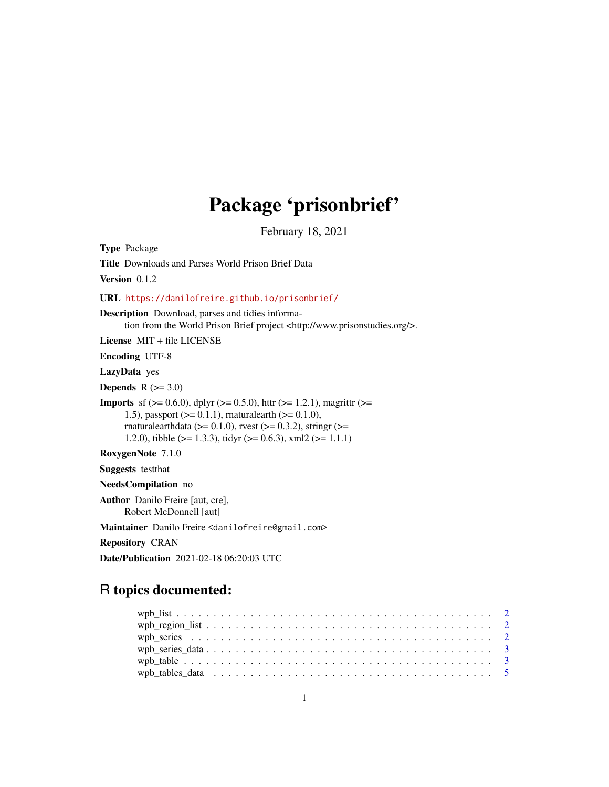## Package 'prisonbrief'

February 18, 2021

Type Package Title Downloads and Parses World Prison Brief Data Version 0.1.2 URL <https://danilofreire.github.io/prisonbrief/> Description Download, parses and tidies information from the World Prison Brief project <http://www.prisonstudies.org/>. License MIT + file LICENSE Encoding UTF-8 LazyData yes Depends  $R$  ( $>= 3.0$ ) **Imports** sf ( $> = 0.6.0$ ), dplyr ( $> = 0.5.0$ ), httr ( $> = 1.2.1$ ), magrittr ( $> =$ 1.5), passport ( $>= 0.1.1$ ), rnaturalearth ( $>= 0.1.0$ ), rnaturalearthdata ( $> = 0.1.0$ ), rvest ( $> = 0.3.2$ ), stringr ( $> =$ 1.2.0), tibble ( $>= 1.3.3$ ), tidyr ( $>= 0.6.3$ ), xml2 ( $>= 1.1.1$ ) RoxygenNote 7.1.0 Suggests testthat NeedsCompilation no Author Danilo Freire [aut, cre], Robert McDonnell [aut] Maintainer Danilo Freire <danilofreire@gmail.com> Repository CRAN Date/Publication 2021-02-18 06:20:03 UTC

### R topics documented: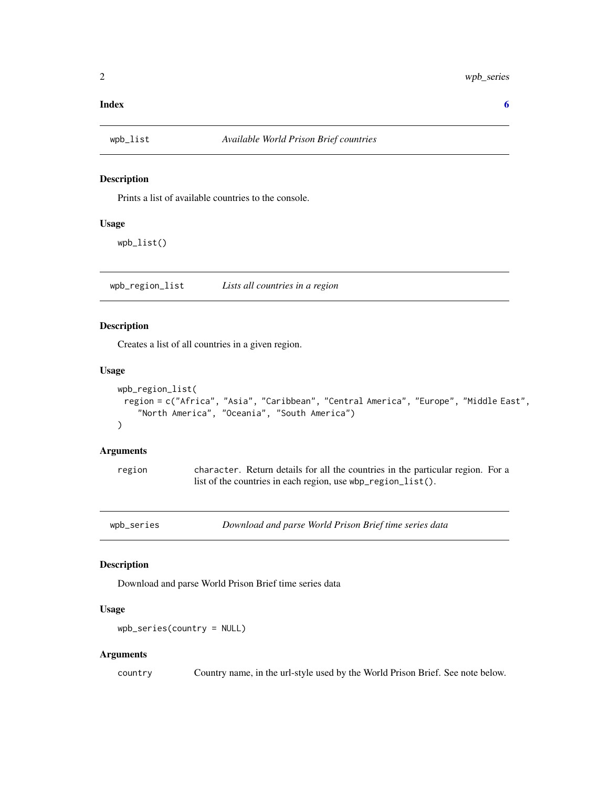#### <span id="page-1-0"></span>**Index** [6](#page-5-0) **6**

#### Description

Prints a list of available countries to the console.

#### Usage

wpb\_list()

wpb\_region\_list *Lists all countries in a region*

#### Description

Creates a list of all countries in a given region.

#### Usage

```
wpb_region_list(
 region = c("Africa", "Asia", "Caribbean", "Central America", "Europe", "Middle East",
    "North America", "Oceania", "South America")
)
```
#### Arguments

region character. Return details for all the countries in the particular region. For a list of the countries in each region, use wbp\_region\_list().

wpb\_series *Download and parse World Prison Brief time series data*

#### Description

Download and parse World Prison Brief time series data

#### Usage

```
wpb_series(country = NULL)
```
#### Arguments

country Country name, in the url-style used by the World Prison Brief. See note below.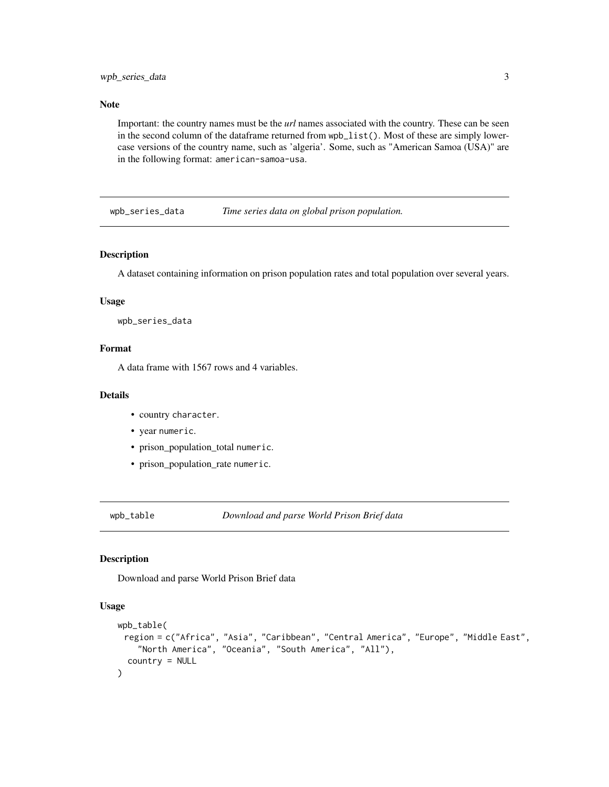#### <span id="page-2-0"></span>Note

Important: the country names must be the *url* names associated with the country. These can be seen in the second column of the dataframe returned from wpb\_list(). Most of these are simply lowercase versions of the country name, such as 'algeria'. Some, such as "American Samoa (USA)" are in the following format: american-samoa-usa.

wpb\_series\_data *Time series data on global prison population.*

#### Description

A dataset containing information on prison population rates and total population over several years.

#### Usage

wpb\_series\_data

#### Format

A data frame with 1567 rows and 4 variables.

#### Details

- country character.
- year numeric.
- prison\_population\_total numeric.
- prison\_population\_rate numeric.

wpb\_table *Download and parse World Prison Brief data*

#### Description

Download and parse World Prison Brief data

#### Usage

```
wpb_table(
 region = c("Africa", "Asia", "Caribbean", "Central America", "Europe", "Middle East",
    "North America", "Oceania", "South America", "All"),
  country = NULL
)
```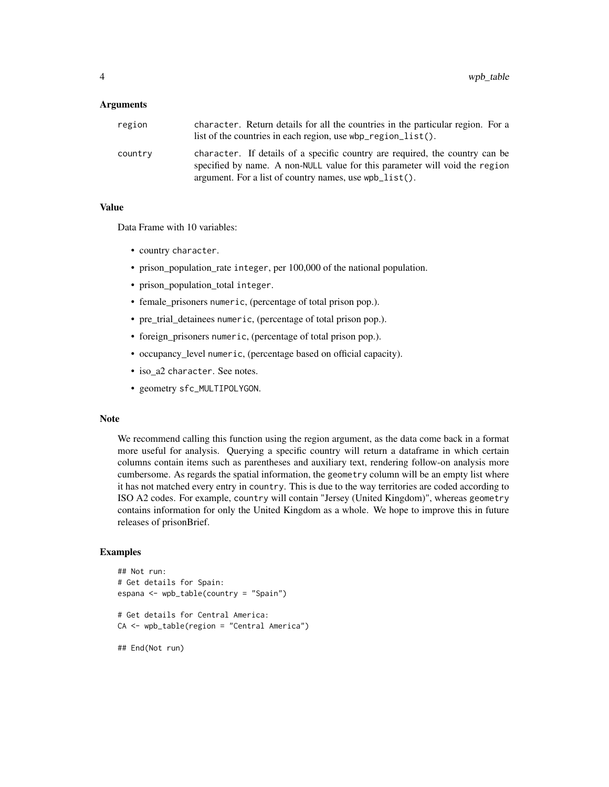#### Arguments

| region  | character. Return details for all the countries in the particular region. For a<br>list of the countries in each region, use $wbp$ region list().                                                                        |
|---------|--------------------------------------------------------------------------------------------------------------------------------------------------------------------------------------------------------------------------|
| country | character. If details of a specific country are required, the country can be<br>specified by name. A non-NULL value for this parameter will void the region<br>argument. For a list of country names, use $wpb_list()$ . |

#### Value

Data Frame with 10 variables:

- country character.
- prison\_population\_rate integer, per 100,000 of the national population.
- prison\_population\_total integer.
- female\_prisoners numeric, (percentage of total prison pop.).
- pre\_trial\_detainees numeric, (percentage of total prison pop.).
- foreign\_prisoners numeric, (percentage of total prison pop.).
- occupancy\_level numeric, (percentage based on official capacity).
- iso\_a2 character. See notes.
- geometry sfc\_MULTIPOLYGON.

#### Note

We recommend calling this function using the region argument, as the data come back in a format more useful for analysis. Querying a specific country will return a dataframe in which certain columns contain items such as parentheses and auxiliary text, rendering follow-on analysis more cumbersome. As regards the spatial information, the geometry column will be an empty list where it has not matched every entry in country. This is due to the way territories are coded according to ISO A2 codes. For example, country will contain "Jersey (United Kingdom)", whereas geometry contains information for only the United Kingdom as a whole. We hope to improve this in future releases of prisonBrief.

#### Examples

```
## Not run:
# Get details for Spain:
espana <- wpb_table(country = "Spain")
# Get details for Central America:
CA <- wpb_table(region = "Central America")
## End(Not run)
```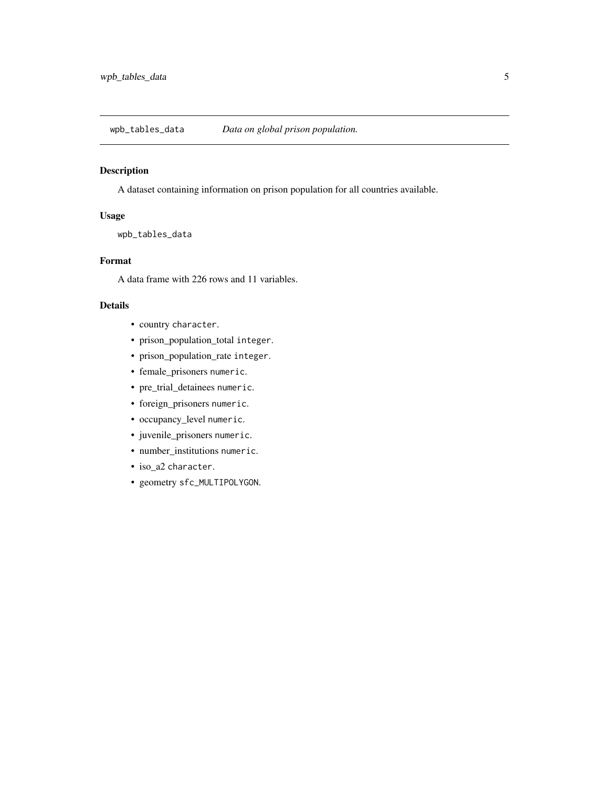<span id="page-4-0"></span>wpb\_tables\_data *Data on global prison population.*

#### Description

A dataset containing information on prison population for all countries available.

#### Usage

wpb\_tables\_data

#### Format

A data frame with 226 rows and 11 variables.

#### Details

- country character.
- prison\_population\_total integer.
- prison\_population\_rate integer.
- female\_prisoners numeric.
- pre\_trial\_detainees numeric.
- foreign\_prisoners numeric.
- occupancy\_level numeric.
- juvenile\_prisoners numeric.
- number\_institutions numeric.
- iso\_a2 character.
- geometry sfc\_MULTIPOLYGON.